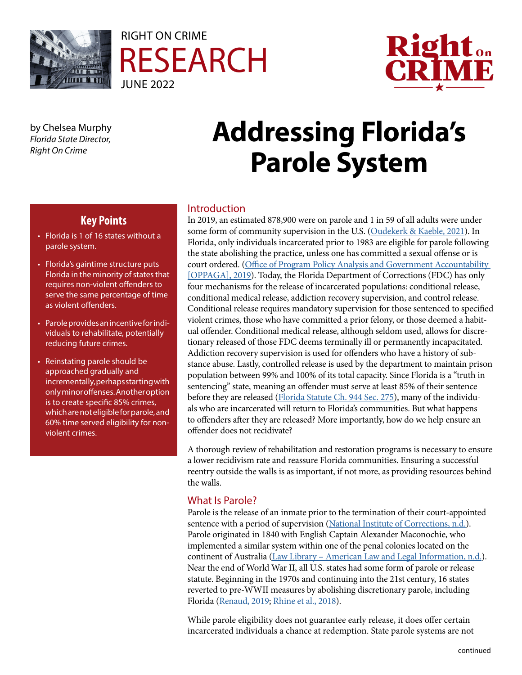





by Chelsea Murphy *Florida State Director, Right On Crime*

# **Addressing Florida's Parole System**

## **Key Points**

- Florida is 1 of 16 states without a parole system.
- Florida's gaintime structure puts Florida in the minority of states that requires non-violent offenders to serve the same percentage of time as violent offenders.
- Parole provides an incentive for individuals to rehabilitate, potentially reducing future crimes.
- Reinstating parole should be approached gradually and incrementally, perhaps starting with only minor offenses. Another option is to create specific 85% crimes, which are not eligible for parole, and 60% time served eligibility for nonviolent crimes.

#### Introduction

In 2019, an estimated 878,900 were on parole and 1 in 59 of all adults were under some form of community supervision in the U.S. ([Oudekerk & Kaeble, 2021\)](https://bjs.ojp.gov/content/pub/pdf/ppus19.pdf). In Florida, only individuals incarcerated prior to 1983 are eligible for parole following the state abolishing the practice, unless one has committed a sexual offense or is court ordered. [\(Office of Program Policy Analysis and Government Accountability](https://oppaga.fl.gov/Documents/Reports/19-13.pdf)  [\[OPPAGA\], 2019](https://oppaga.fl.gov/Documents/Reports/19-13.pdf)). Today, the Florida Department of Corrections (FDC) has only four mechanisms for the release of incarcerated populations: conditional release, conditional medical release, addiction recovery supervision, and control release. Conditional release requires mandatory supervision for those sentenced to specified violent crimes, those who have committed a prior felony, or those deemed a habitual offender. Conditional medical release, although seldom used, allows for discretionary released of those FDC deems terminally ill or permanently incapacitated. Addiction recovery supervision is used for offenders who have a history of substance abuse. Lastly, controlled release is used by the department to maintain prison population between 99% and 100% of its total capacity. Since Florida is a "truth in sentencing" state, meaning an offender must serve at least 85% of their sentence before they are released [\(Florida Statute Ch. 944 Sec. 275](https://www.flsenate.gov/Laws/Statutes/2018/944.275)), many of the individuals who are incarcerated will return to Florida's communities. But what happens to offenders after they are released? More importantly, how do we help ensure an offender does not recidivate?

A thorough review of rehabilitation and restoration programs is necessary to ensure a lower recidivism rate and reassure Florida communities. Ensuring a successful reentry outside the walls is as important, if not more, as providing resources behind the walls.

### What Is Parole?

Parole is the release of an inmate prior to the termination of their court-appointed sentence with a period of supervision [\(National Institute of Corrections, n.d.\)](https://nicic.gov/projects/parole). Parole originated in 1840 with English Captain Alexander Maconochie, who implemented a similar system within one of the penal colonies located on the continent of Australia [\(Law Library – American Law and Legal Information, n.d.](https://law.jrank.org/pages/1817/Probation-Parole-History-Goals-Decision-Making-Origins-probation-parole.html)). Near the end of World War II, all U.S. states had some form of parole or release statute. Beginning in the 1970s and continuing into the 21st century, 16 states reverted to pre-WWII measures by abolishing discretionary parole, including Florida [\(Renaud, 2019;](https://www.prisonpolicy.org/reports/grading_parole.html) [Rhine et al., 2018](https://robinainstitute.umn.edu/news-views/parole-boards-within-indeterminate-and-determinate-sentencing-structures)).

While parole eligibility does not guarantee early release, it does offer certain incarcerated individuals a chance at redemption. State parole systems are not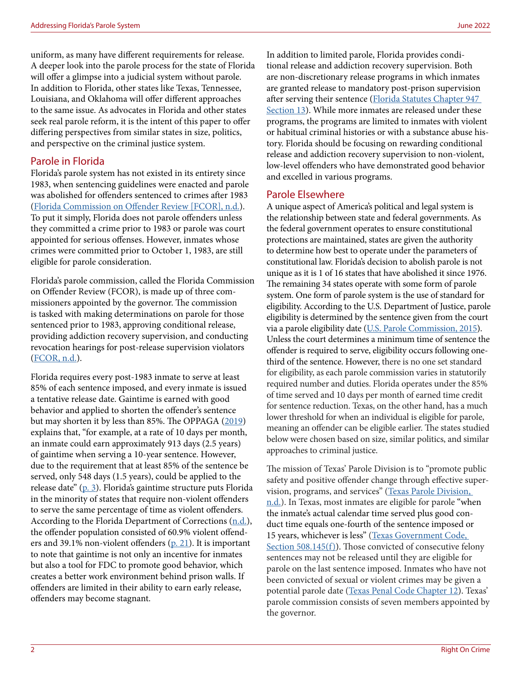uniform, as many have different requirements for release. A deeper look into the parole process for the state of Florida will offer a glimpse into a judicial system without parole. In addition to Florida, other states like Texas, Tennessee, Louisiana, and Oklahoma will offer different approaches to the same issue. As advocates in Florida and other states seek real parole reform, it is the intent of this paper to offer differing perspectives from similar states in size, politics, and perspective on the criminal justice system.

#### Parole in Florida

Florida's parole system has not existed in its entirety since 1983, when sentencing guidelines were enacted and parole was abolished for offenders sentenced to crimes after 1983 ([Florida Commission on Offender Review \[FCOR\], n.d.](https://www.fcor.state.fl.us/release-types.shtml)). To put it simply, Florida does not parole offenders unless they committed a crime prior to 1983 or parole was court appointed for serious offenses. However, inmates whose crimes were committed prior to October 1, 1983, are still eligible for parole consideration.

Florida's parole commission, called the Florida Commission on Offender Review (FCOR), is made up of three commissioners appointed by the governor. The commission is tasked with making determinations on parole for those sentenced prior to 1983, approving conditional release, providing addiction recovery supervision, and conducting revocation hearings for post-release supervision violators ([FCOR, n.d.\)](https://www.fcor.state.fl.us/release-types.shtml).

Florida requires every post-1983 inmate to serve at least 85% of each sentence imposed, and every inmate is issued a tentative release date. Gaintime is earned with good behavior and applied to shorten the offender's sentence but may shorten it by less than 85%. The OPPAGA ([2019\)](https://oppaga.fl.gov/Documents/Reports/19-13.pdf) explains that, "for example, at a rate of 10 days per month, an inmate could earn approximately 913 days (2.5 years) of gaintime when serving a 10-year sentence. However, due to the requirement that at least 85% of the sentence be served, only 548 days (1.5 years), could be applied to the release date" ([p. 3](https://oppaga.fl.gov/Documents/Reports/19-13.pdf)). Florida's gaintime structure puts Florida in the minority of states that require non-violent offenders to serve the same percentage of time as violent offenders. According to the Florida Department of Corrections ([n.d.](http://www.dc.state.fl.us/pub/annual/2021/FDC_AR2020-21.pdf)), the offender population consisted of 60.9% violent offenders and 39.1% non-violent offenders  $(p, 21)$ . It is important to note that gaintime is not only an incentive for inmates but also a tool for FDC to promote good behavior, which creates a better work environment behind prison walls. If offenders are limited in their ability to earn early release, offenders may become stagnant.

In addition to limited parole, Florida provides conditional release and addiction recovery supervision. Both are non-discretionary release programs in which inmates are granted release to mandatory post-prison supervision after serving their sentence ([Florida Statutes Chapter 947](http://www.leg.state.fl.us/statutes/index.cfm?App_mode=Display_Statute&Search_String=&URL=0900-0999/0947/Sections/0947.13.html)  [Section 13](http://www.leg.state.fl.us/statutes/index.cfm?App_mode=Display_Statute&Search_String=&URL=0900-0999/0947/Sections/0947.13.html)). While more inmates are released under these programs, the programs are limited to inmates with violent or habitual criminal histories or with a substance abuse history. Florida should be focusing on rewarding conditional release and addiction recovery supervision to non-violent, low-level offenders who have demonstrated good behavior and excelled in various programs.

#### Parole Elsewhere

A unique aspect of America's political and legal system is the relationship between state and federal governments. As the federal government operates to ensure constitutional protections are maintained, states are given the authority to determine how best to operate under the parameters of constitutional law. Florida's decision to abolish parole is not unique as it is 1 of 16 states that have abolished it since 1976. The remaining 34 states operate with some form of parole system. One form of parole system is the use of standard for eligibility. According to the U.S. Department of Justice, parole eligibility is determined by the sentence given from the court via a parole eligibility date [\(U.S. Parole Commission, 2015\)](https://www.justice.gov/uspc/frequently-asked-questions#q2). Unless the court determines a minimum time of sentence the offender is required to serve, eligibility occurs following onethird of the sentence. However, there is no one set standard for eligibility, as each parole commission varies in statutorily required number and duties. Florida operates under the 85% of time served and 10 days per month of earned time credit for sentence reduction. Texas, on the other hand, has a much lower threshold for when an individual is eligible for parole, meaning an offender can be eligible earlier. The states studied below were chosen based on size, similar politics, and similar approaches to criminal justice.

The mission of Texas' Parole Division is to "promote public safety and positive offender change through effective supervision, programs, and services" (Texas Parole Division, [n.d.\)](https://www.tdcj.texas.gov/divisions/pd/index.html). In Texas, most inmates are eligible for parole "when the inmate's actual calendar time served plus good conduct time equals one-fourth of the sentence imposed or 15 years, whichever is less" [\(Texas Government Code,](https://statutes.capitol.texas.gov/Docs/GV/htm/GV.508.htm)  [Section 508.145\(f\)\)](https://statutes.capitol.texas.gov/Docs/GV/htm/GV.508.htm). Those convicted of consecutive felony sentences may not be released until they are eligible for parole on the last sentence imposed. Inmates who have not been convicted of sexual or violent crimes may be given a potential parole date [\(Texas Penal Code Chapter 12](https://statutes.capitol.texas.gov/Docs/PE/htm/PE.12.htm)). Texas' parole commission consists of seven members appointed by the governor.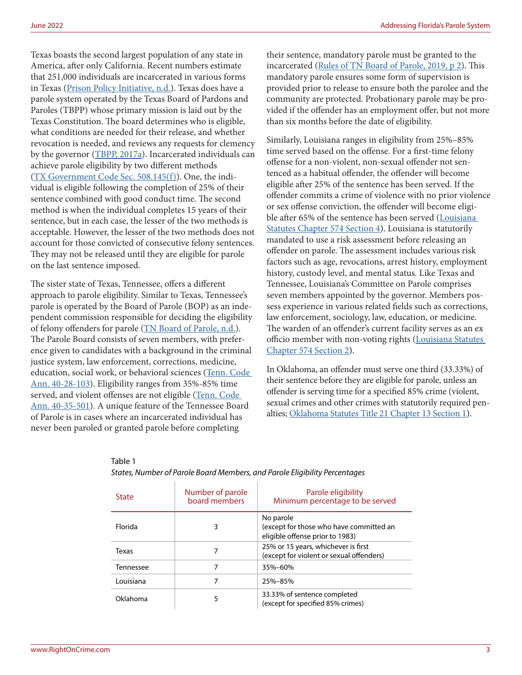June 2022 Addressing Florida's Parole System

Texas boasts the second largest population of any state in America, after only California. Recent numbers estimate that 251,000 individuals are incarcerated in various forms in Texas [\(Prison Policy Initiative, n.d.](https://www.prisonpolicy.org/profiles/TX.html)). Texas does have a parole system operated by the Texas Board of Pardons and Paroles (TBPP) whose primary mission is laid out by the Texas Constitution. The board determines who is eligible, what conditions are needed for their release, and whether revocation is needed, and reviews any requests for clemency by the governor [\(TBPP, 2017a](https://www.tdcj.texas.gov/bpp/AboutUs.htm)). Incarcerated individuals can achieve parole eligibility by two different methods ([TX Government Code Sec. 508.145\(f\)\)](https://statutes.capitol.texas.gov/Docs/GV/htm/GV.508.htm). One, the individual is eligible following the completion of 25% of their sentence combined with good conduct time. The second method is when the individual completes 15 years of their sentence, but in each case, the lesser of the two methods is acceptable. However, the lesser of the two methods does not account for those convicted of consecutive felony sentences. They may not be released until they are eligible for parole on the last sentence imposed.

The sister state of Texas, Tennessee, offers a different approach to parole eligibility. Similar to Texas, Tennessee's parole is operated by the Board of Parole (BOP) as an independent commission responsible for deciding the eligibility of felony offenders for parole ([TN Board of Parole, n.d.](https://www.tn.gov/bop/about-us/information/abtus-info-frequently-asked-questions.html)). The Parole Board consists of seven members, with preference given to candidates with a background in the criminal justice system, law enforcement, corrections, medicine, education, social work, or behavioral sciences [\(Tenn. Code](https://advance.lexis.com/documentpage/?pdmfid=1000516&crid=3b6e2309-438d-43ba-bb29-200c15998458&nodeid=ABOABCAABAAD&nodepath=%2FROOT%2FABO%2FABOABC%2FABOABCAAB%2FABOABCAABAAD&level=4&haschildren=&populated=false&title=40-28-103.+Board+of+parole.&config=025054JABlOTJjNmIyNi0wYjI0LTRjZGEtYWE5ZC0zNGFhOWNhMjFlNDgKAFBvZENhdGFsb2cDFQ14bX2GfyBTaI9WcPX5&pddocfullpath=%2Fshared%2Fdocument%2Fstatutes-legislation%2Furn%3AcontentItem%3A50JB-7980-R03J-P1XJ-00008-00&ecomp=5g1_kkk&prid=56b8106d-d808-495c-9d56-5134b2eedcc0)  [Ann. 40-28-103](https://advance.lexis.com/documentpage/?pdmfid=1000516&crid=3b6e2309-438d-43ba-bb29-200c15998458&nodeid=ABOABCAABAAD&nodepath=%2FROOT%2FABO%2FABOABC%2FABOABCAAB%2FABOABCAABAAD&level=4&haschildren=&populated=false&title=40-28-103.+Board+of+parole.&config=025054JABlOTJjNmIyNi0wYjI0LTRjZGEtYWE5ZC0zNGFhOWNhMjFlNDgKAFBvZENhdGFsb2cDFQ14bX2GfyBTaI9WcPX5&pddocfullpath=%2Fshared%2Fdocument%2Fstatutes-legislation%2Furn%3AcontentItem%3A50JB-7980-R03J-P1XJ-00008-00&ecomp=5g1_kkk&prid=56b8106d-d808-495c-9d56-5134b2eedcc0)). Eligibility ranges from 35%-85% time served, and violent offenses are not eligible ([Tenn. Code](https://advance.lexis.com/documentpage/?pdmfid=1000516&crid=94aea957-a6bb-44b1-b763-c01c2d0d300f&nodeid=ABOABJAAFAAB&nodepath=%2FROOT%2FABO%2FABOABJ%2FABOABJAAF%2FABOABJAAFAAB&level=4&haschildren=&populated=false&title=40-35-501.+Release+eligibility+status+%E2%80%94+Calculations.&config=025054JABlOTJjNmIyNi0wYjI0LTRjZGEtYWE5ZC0zNGFhOWNhMjFlNDgKAFBvZENhdGFsb2cDFQ14bX2GfyBTaI9WcPX5&pddocfullpath=%2Fshared%2Fdocument%2Fstatutes-legislation%2Furn%3AcontentItem%3A62H2-DG50-R03J-N1R6-00008-00&ecomp=5g1_kkk&prid=56b8106d-d808-495c-9d56-5134b2eedcc0)  [Ann. 40-35-501](https://advance.lexis.com/documentpage/?pdmfid=1000516&crid=94aea957-a6bb-44b1-b763-c01c2d0d300f&nodeid=ABOABJAAFAAB&nodepath=%2FROOT%2FABO%2FABOABJ%2FABOABJAAF%2FABOABJAAFAAB&level=4&haschildren=&populated=false&title=40-35-501.+Release+eligibility+status+%E2%80%94+Calculations.&config=025054JABlOTJjNmIyNi0wYjI0LTRjZGEtYWE5ZC0zNGFhOWNhMjFlNDgKAFBvZENhdGFsb2cDFQ14bX2GfyBTaI9WcPX5&pddocfullpath=%2Fshared%2Fdocument%2Fstatutes-legislation%2Furn%3AcontentItem%3A62H2-DG50-R03J-N1R6-00008-00&ecomp=5g1_kkk&prid=56b8106d-d808-495c-9d56-5134b2eedcc0)). A unique feature of the Tennessee Board of Parole is in cases where an incarcerated individual has never been paroled or granted parole before completing

Table 1

their sentence, mandatory parole must be granted to the incarcerated [\(Rules of TN Board of Parole, 2019, p 2](https://publications.tnsosfiles.com/rules_all/2019/1100-01-01.20190314.pdf)). This mandatory parole ensures some form of supervision is provided prior to release to ensure both the parolee and the community are protected. Probationary parole may be provided if the offender has an employment offer, but not more than six months before the date of eligibility.

Similarly, Louisiana ranges in eligibility from 25%–85% time served based on the offense. For a first-time felony offense for a non-violent, non-sexual offender not sentenced as a habitual offender, the offender will become eligible after 25% of the sentence has been served. If the offender commits a crime of violence with no prior violence or sex offense conviction, the offender will become eligible after 65% of the sentence has been served ([Louisiana](https://legis.la.gov/Legis/Law.aspx?d=79239)  [Statutes Chapter 574 Section 4](https://legis.la.gov/Legis/Law.aspx?d=79239)). Louisiana is statutorily mandated to use a risk assessment before releasing an offender on parole. The assessment includes various risk factors such as age, revocations, arrest history, employment history, custody level, and mental status. Like Texas and Tennessee, Louisiana's Committee on Parole comprises seven members appointed by the governor. Members possess experience in various related fields such as corrections, law enforcement, sociology, law, education, or medicine. The warden of an offender's current facility serves as an ex officio member with non-voting rights ([Louisiana Statutes](https://legis.la.gov/Legis/law.aspx?d=79224)  [Chapter 574 Section 2\)](https://legis.la.gov/Legis/law.aspx?d=79224).

In Oklahoma, an offender must serve one third (33.33%) of their sentence before they are eligible for parole, unless an offender is serving time for a specified 85% crime (violent, sexual crimes and other crimes with statutorily required penalties; [Oklahoma Statutes Title 21 Chapter 13 Section 1](https://oksenate.gov/sites/default/files/2019-12/os21.pdf)).

| <b>State</b> | Number of parole<br>board members | Parole eligibility<br>Minimum percentage to be served                                   |
|--------------|-----------------------------------|-----------------------------------------------------------------------------------------|
| Florida      | 3                                 | No parole<br>(except for those who have committed an<br>eligible offense prior to 1983) |
| Texas        |                                   | 25% or 15 years, whichever is first<br>(except for violent or sexual offenders)         |
| Tennessee    |                                   | 35%-60%                                                                                 |
| Louisiana    | 7                                 | 25%-85%                                                                                 |
| Oklahoma     | 5                                 | 33.33% of sentence completed<br>(except for specified 85% crimes)                       |

#### *States, Number of Parole Board Members, and Parole Eligibility Percentages*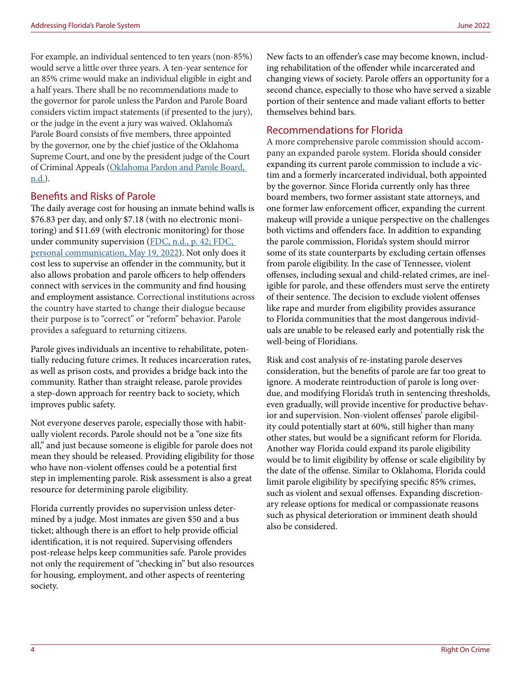For example, an individual sentenced to ten years (non-85%) would serve a little over three years. A ten-year sentence for an 85% crime would make an individual eligible in eight and a half years. There shall be no recommendations made to the governor for parole unless the Pardon and Parole Board considers victim impact statements (if presented to the jury), or the judge in the event a jury was waived. Oklahoma's Parole Board consists of five members, three appointed by the governor, one by the chief justice of the Oklahoma Supreme Court, and one by the president judge of the Court of Criminal Appeals ([Oklahoma Pardon and Parole Board,](https://www.ok.gov/ppb/Agency_and_Board_Meeting_Information/Board_Members/index.html)  [n.d.](https://www.ok.gov/ppb/Agency_and_Board_Meeting_Information/Board_Members/index.html)).

#### Benefits and Risks of Parole

The daily average cost for housing an inmate behind walls is \$76.83 per day, and only \$7.18 (with no electronic monitoring) and \$11.69 (with electronic monitoring) for those under community supervision ([FDC, n.d., p. 42](http://www.dc.state.fl.us/pub/annual/2021/FDC_AR2020-21.pdf); FDC, personal communication, May 19, 2022). Not only does it cost less to supervise an offender in the community, but it also allows probation and parole officers to help offenders connect with services in the community and find housing and employment assistance. Correctional institutions across the country have started to change their dialogue because their purpose is to "correct" or "reform" behavior. Parole provides a safeguard to returning citizens.

Parole gives individuals an incentive to rehabilitate, potentially reducing future crimes. It reduces incarceration rates, as well as prison costs, and provides a bridge back into the community. Rather than straight release, parole provides a step-down approach for reentry back to society, which improves public safety.

Not everyone deserves parole, especially those with habitually violent records. Parole should not be a "one size fits all," and just because someone is eligible for parole does not mean they should be released. Providing eligibility for those who have non-violent offenses could be a potential first step in implementing parole. Risk assessment is also a great resource for determining parole eligibility.

Florida currently provides no supervision unless determined by a judge. Most inmates are given \$50 and a bus ticket; although there is an effort to help provide official identification, it is not required. Supervising offenders post-release helps keep communities safe. Parole provides not only the requirement of "checking in" but also resources for housing, employment, and other aspects of reentering society.

New facts to an offender's case may become known, including rehabilitation of the offender while incarcerated and changing views of society. Parole offers an opportunity for a second chance, especially to those who have served a sizable portion of their sentence and made valiant efforts to better themselves behind bars.

#### Recommendations for Florida

A more comprehensive parole commission should accompany an expanded parole system. Florida should consider expanding its current parole commission to include a victim and a formerly incarcerated individual, both appointed by the governor. Since Florida currently only has three board members, two former assistant state attorneys, and one former law enforcement officer, expanding the current makeup will provide a unique perspective on the challenges both victims and offenders face. In addition to expanding the parole commission, Florida's system should mirror some of its state counterparts by excluding certain offenses from parole eligibility. In the case of Tennessee, violent offenses, including sexual and child-related crimes, are ineligible for parole, and these offenders must serve the entirety of their sentence. The decision to exclude violent offenses like rape and murder from eligibility provides assurance to Florida communities that the most dangerous individuals are unable to be released early and potentially risk the well-being of Floridians.

Risk and cost analysis of re-instating parole deserves consideration, but the benefits of parole are far too great to ignore. A moderate reintroduction of parole is long overdue, and modifying Florida's truth in sentencing thresholds, even gradually, will provide incentive for productive behavior and supervision. Non-violent offenses' parole eligibility could potentially start at 60%, still higher than many other states, but would be a significant reform for Florida. Another way Florida could expand its parole eligibility would be to limit eligibility by offense or scale eligibility by the date of the offense. Similar to Oklahoma, Florida could limit parole eligibility by specifying specific 85% crimes, such as violent and sexual offenses. Expanding discretionary release options for medical or compassionate reasons such as physical deterioration or imminent death should also be considered.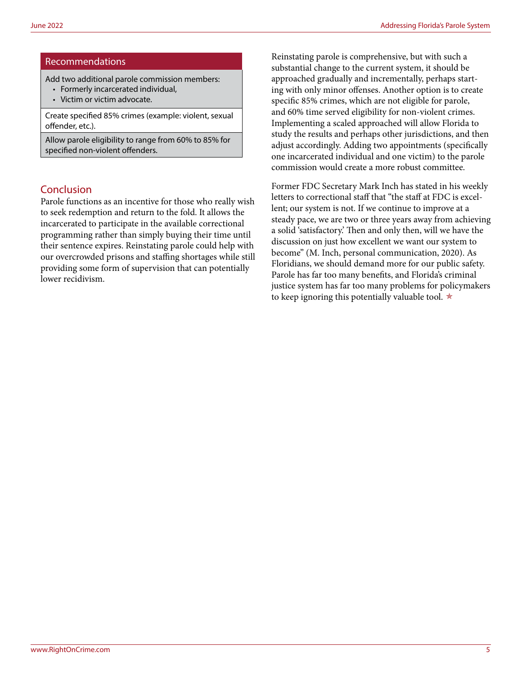#### Recommendations

Add two additional parole commission members:

- Formerly incarcerated individual,
- Victim or victim advocate.

Create specified 85% crimes (example: violent, sexual offender, etc.).

Allow parole eligibility to range from 60% to 85% for specified non-violent offenders.

#### Conclusion

Parole functions as an incentive for those who really wish to seek redemption and return to the fold. It allows the incarcerated to participate in the available correctional programming rather than simply buying their time until their sentence expires. Reinstating parole could help with our overcrowded prisons and staffing shortages while still providing some form of supervision that can potentially lower recidivism.

Reinstating parole is comprehensive, but with such a substantial change to the current system, it should be approached gradually and incrementally, perhaps starting with only minor offenses. Another option is to create specific 85% crimes, which are not eligible for parole, and 60% time served eligibility for non-violent crimes. Implementing a scaled approached will allow Florida to study the results and perhaps other jurisdictions, and then adjust accordingly. Adding two appointments (specifically one incarcerated individual and one victim) to the parole commission would create a more robust committee.

Former FDC Secretary Mark Inch has stated in his weekly letters to correctional staff that "the staff at FDC is excellent; our system is not. If we continue to improve at a steady pace, we are two or three years away from achieving a solid 'satisfactory.' Then and only then, will we have the discussion on just how excellent we want our system to become" (M. Inch, personal communication, 2020). As Floridians, we should demand more for our public safety. Parole has far too many benefits, and Florida's criminal justice system has far too many problems for policymakers to keep ignoring this potentially valuable tool.  $\star$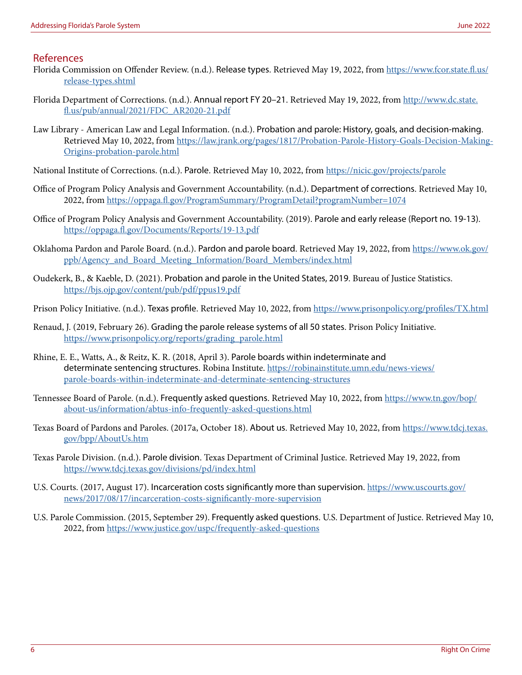#### References

- Florida Commission on Offender Review. (n.d.). Release types. Retrieved May 19, 2022, from [https://www.fcor.state.fl.us/](https://www.fcor.state.fl.us/release-types.shtml) [release-types.shtml](https://www.fcor.state.fl.us/release-types.shtml)
- Florida Department of Corrections. (n.d.). Annual report FY 20–21. Retrieved May 19, 2022, from [http://www.dc.state.](http://www.dc.state.fl.us/pub/annual/2021/FDC_AR2020-21.pdf) [fl.us/pub/annual/2021/FDC\\_AR2020-21.pdf](http://www.dc.state.fl.us/pub/annual/2021/FDC_AR2020-21.pdf)
- Law Library American Law and Legal Information. (n.d.). Probation and parole: History, goals, and decision-making. Retrieved May 10, 2022, from [https://law.jrank.org/pages/1817/Probation-Parole-History-Goals-Decision-Making-](https://law.jrank.org/pages/1817/Probation-Parole-History-Goals-Decision-Making-Origins-probation-parole.html)[Origins-probation-parole.html](https://law.jrank.org/pages/1817/Probation-Parole-History-Goals-Decision-Making-Origins-probation-parole.html)
- National Institute of Corrections. (n.d.). Parole. Retrieved May 10, 2022, from <https://nicic.gov/projects/parole>
- Office of Program Policy Analysis and Government Accountability. (n.d.). Department of corrections. Retrieved May 10, 2022, from<https://oppaga.fl.gov/ProgramSummary/ProgramDetail?programNumber=1074>
- Office of Program Policy Analysis and Government Accountability. (2019). Parole and early release (Report no. 19-13). <https://oppaga.fl.gov/Documents/Reports/19-13.pdf>
- Oklahoma Pardon and Parole Board. (n.d.). Pardon and parole board. Retrieved May 19, 2022, from [https://www.ok.gov/](https://www.ok.gov/ppb/Agency_and_Board_Meeting_Information/Board_Members/index.html) [ppb/Agency\\_and\\_Board\\_Meeting\\_Information/Board\\_Members/index.html](https://www.ok.gov/ppb/Agency_and_Board_Meeting_Information/Board_Members/index.html)
- Oudekerk, B., & Kaeble, D. (2021). Probation and parole in the United States, 2019. Bureau of Justice Statistics. <https://bjs.ojp.gov/content/pub/pdf/ppus19.pdf>
- Prison Policy Initiative. (n.d.). Texas profile. Retrieved May 10, 2022, from <https://www.prisonpolicy.org/profiles/TX.html>
- Renaud, J. (2019, February 26). Grading the parole release systems of all 50 states. Prison Policy Initiative. [https://www.prisonpolicy.org/reports/grading\\_parole.html](https://www.prisonpolicy.org/reports/grading_parole.html)
- Rhine, E. E., Watts, A., & Reitz, K. R. (2018, April 3). Parole boards within indeterminate and determinate sentencing structures. Robina Institute. [https://robinainstitute.umn.edu/news-views/](https://robinainstitute.umn.edu/news-views/parole-boards-within-indeterminate-and-determinate-sentencing-structures) [parole-boards-within-indeterminate-and-determinate-sentencing-structures](https://robinainstitute.umn.edu/news-views/parole-boards-within-indeterminate-and-determinate-sentencing-structures)
- Tennessee Board of Parole. (n.d.). Frequently asked questions. Retrieved May 10, 2022, from [https://www.tn.gov/bop/](https://www.tn.gov/bop/about-us/information/abtus-info-frequently-asked-questions.html) [about-us/information/abtus-info-frequently-asked-questions.html](https://www.tn.gov/bop/about-us/information/abtus-info-frequently-asked-questions.html)
- Texas Board of Pardons and Paroles. (2017a, October 18). About us. Retrieved May 10, 2022, from [https://www.tdcj.texas.](https://www.tdcj.texas.gov/bpp/AboutUs.htm) [gov/bpp/AboutUs.htm](https://www.tdcj.texas.gov/bpp/AboutUs.htm)
- Texas Parole Division. (n.d.). Parole division. Texas Department of Criminal Justice. Retrieved May 19, 2022, from <https://www.tdcj.texas.gov/divisions/pd/index.html>
- U.S. Courts. (2017, August 17). Incarceration costs significantly more than supervision. [https://www.uscourts.gov/](https://www.uscourts.gov/news/2017/08/17/incarceration-costs-significantly-more-supervision) [news/2017/08/17/incarceration-costs-significantly-more-supervision](https://www.uscourts.gov/news/2017/08/17/incarceration-costs-significantly-more-supervision)
- U.S. Parole Commission. (2015, September 29). Frequently asked questions. U.S. Department of Justice. Retrieved May 10, 2022, from<https://www.justice.gov/uspc/frequently-asked-questions>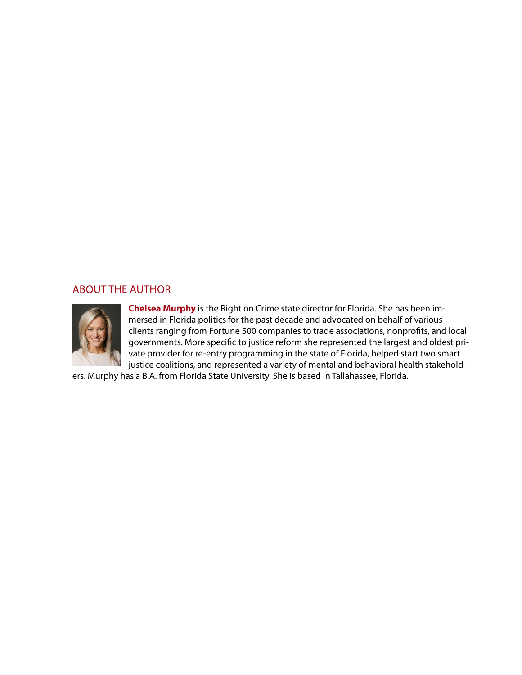#### ABOUT THE AUTHOR



**Chelsea Murphy** is the Right on Crime state director for Florida. She has been immersed in Florida politics for the past decade and advocated on behalf of various clients ranging from Fortune 500 companies to trade associations, nonprofits, and local governments. More specific to justice reform she represented the largest and oldest private provider for re-entry programming in the state of Florida, helped start two smart justice coalitions, and represented a variety of mental and behavioral health stakehold-

ers. Murphy has a B.A. from Florida State University. She is based in Tallahassee, Florida.